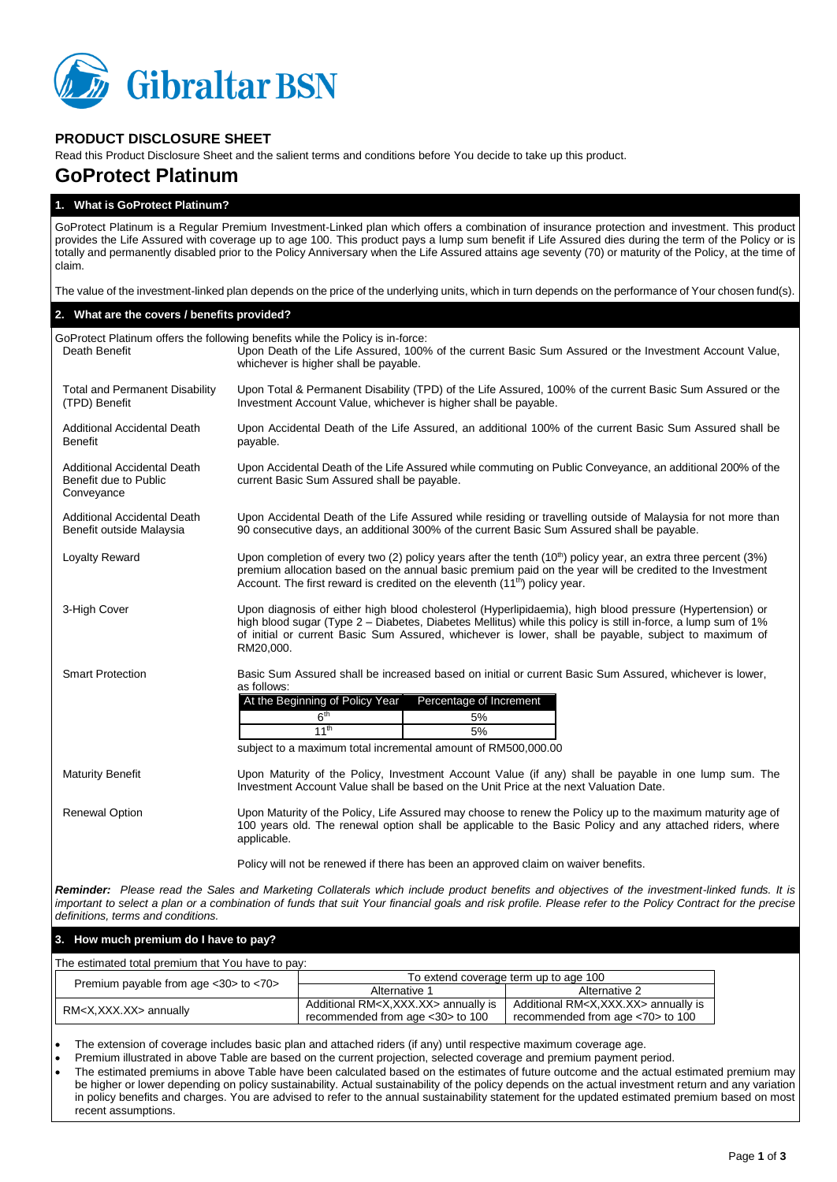

## **PRODUCT DISCLOSURE SHEET**

Read this Product Disclosure Sheet and the salient terms and conditions before You decide to take up this product.

# **GoProtect Platinum**

#### **1. What is GoProtect Platinum?**

GoProtect Platinum is a Regular Premium Investment-Linked plan which offers a combination of insurance protection and investment. This product provides the Life Assured with coverage up to age 100. This product pays a lump sum benefit if Life Assured dies during the term of the Policy or is totally and permanently disabled prior to the Policy Anniversary when the Life Assured attains age seventy (70) or maturity of the Policy, at the time of claim.

The value of the investment-linked plan depends on the price of the underlying units, which in turn depends on the performance of Your chosen fund(s).

#### **2. What are the covers / benefits provided?**

| Death Benefit                                                      | GoProtect Platinum offers the following benefits while the Policy is in-force:<br>Upon Death of the Life Assured, 100% of the current Basic Sum Assured or the Investment Account Value,<br>whichever is higher shall be payable.                                                                                                              |
|--------------------------------------------------------------------|------------------------------------------------------------------------------------------------------------------------------------------------------------------------------------------------------------------------------------------------------------------------------------------------------------------------------------------------|
| <b>Total and Permanent Disability</b><br>(TPD) Benefit             | Upon Total & Permanent Disability (TPD) of the Life Assured, 100% of the current Basic Sum Assured or the<br>Investment Account Value, whichever is higher shall be payable.                                                                                                                                                                   |
| <b>Additional Accidental Death</b><br><b>Benefit</b>               | Upon Accidental Death of the Life Assured, an additional 100% of the current Basic Sum Assured shall be<br>payable.                                                                                                                                                                                                                            |
| Additional Accidental Death<br>Benefit due to Public<br>Conveyance | Upon Accidental Death of the Life Assured while commuting on Public Conveyance, an additional 200% of the<br>current Basic Sum Assured shall be payable.                                                                                                                                                                                       |
| Additional Accidental Death<br>Benefit outside Malaysia            | Upon Accidental Death of the Life Assured while residing or travelling outside of Malaysia for not more than<br>90 consecutive days, an additional 300% of the current Basic Sum Assured shall be payable.                                                                                                                                     |
| Loyalty Reward                                                     | Upon completion of every two (2) policy years after the tenth $(10th)$ policy year, an extra three percent (3%)<br>premium allocation based on the annual basic premium paid on the year will be credited to the Investment<br>Account. The first reward is credited on the eleventh (11 <sup>th</sup> ) policy year.                          |
| 3-High Cover                                                       | Upon diagnosis of either high blood cholesterol (Hyperlipidaemia), high blood pressure (Hypertension) or<br>high blood sugar (Type 2 – Diabetes, Diabetes Mellitus) while this policy is still in-force, a lump sum of 1%<br>of initial or current Basic Sum Assured, whichever is lower, shall be payable, subject to maximum of<br>RM20,000. |
| <b>Smart Protection</b>                                            | Basic Sum Assured shall be increased based on initial or current Basic Sum Assured, whichever is lower,<br>as follows:<br>At the Beginning of Policy Year<br>Percentage of Increment<br>6 <sup>th</sup><br>5%<br>11 <sup>th</sup><br>5%<br>subject to a maximum total incremental amount of RM500,000.00                                       |
| <b>Maturity Benefit</b>                                            | Upon Maturity of the Policy, Investment Account Value (if any) shall be payable in one lump sum. The<br>Investment Account Value shall be based on the Unit Price at the next Valuation Date.                                                                                                                                                  |
| <b>Renewal Option</b>                                              | Upon Maturity of the Policy, Life Assured may choose to renew the Policy up to the maximum maturity age of<br>100 years old. The renewal option shall be applicable to the Basic Policy and any attached riders, where<br>applicable.                                                                                                          |
|                                                                    | Policy will not be renewed if there has been an approved claim on waiver benefits.                                                                                                                                                                                                                                                             |
| definitions, terms and conditions.                                 | Reminder: Please read the Sales and Marketing Collaterals which include product benefits and objectives of the investment-linked funds. It is<br>important to select a plan or a combination of funds that suit Your financial goals and risk profile. Please refer to the Policy Contract for the precise                                     |
| 3. How much premium do I have to pay?                              |                                                                                                                                                                                                                                                                                                                                                |
| The estimated total premium that You have to pay:                  |                                                                                                                                                                                                                                                                                                                                                |

| The countained total profitant that Tod Have to pay. |                                                 |                                                 |  |  |
|------------------------------------------------------|-------------------------------------------------|-------------------------------------------------|--|--|
| Premium payable from age $<$ 30 $>$ to $<$ 70 $>$    | To extend coverage term up to age 100           |                                                 |  |  |
|                                                      | Alternative 1                                   | Alternative 2                                   |  |  |
| RM <x,xxx.xx> annually</x,xxx.xx>                    | Additional RM <x,xxx.xx> annually is</x,xxx.xx> | Additional RM <x,xxx.xx> annually is</x,xxx.xx> |  |  |
|                                                      | recommended from age <30> to 100                | recommended from age <70> to 100                |  |  |

The extension of coverage includes basic plan and attached riders (if any) until respective maximum coverage age.

Premium illustrated in above Table are based on the current projection, selected coverage and premium payment period.

 The estimated premiums in above Table have been calculated based on the estimates of future outcome and the actual estimated premium may be higher or lower depending on policy sustainability. Actual sustainability of the policy depends on the actual investment return and any variation in policy benefits and charges. You are advised to refer to the annual sustainability statement for the updated estimated premium based on most recent assumptions.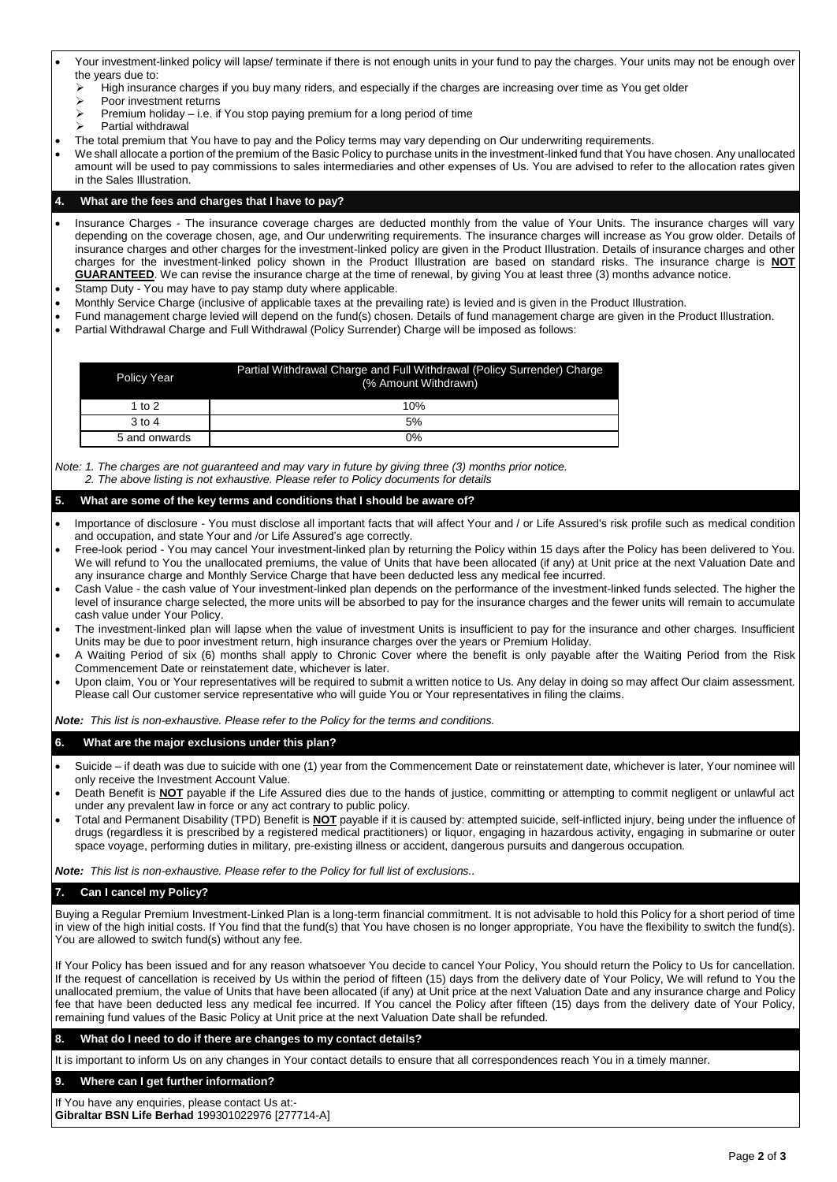- Your investment-linked policy will lapse/ terminate if there is not enough units in your fund to pay the charges. Your units may not be enough over the years due to:<br> $\triangleright$  High insural
	- High insurance charges if you buy many riders, and especially if the charges are increasing over time as You get older
		- > Poor investment returns
		- Premium holiday i.e. if You stop paying premium for a long period of time
		- Partial withdrawal
- The total premium that You have to pay and the Policy terms may vary depending on Our underwriting requirements.
- We shall allocate a portion of the premium of the Basic Policy to purchase units in the investment-linked fund that You have chosen. Any unallocated amount will be used to pay commissions to sales intermediaries and other expenses of Us. You are advised to refer to the allocation rates given in the Sales Illustration.

#### **4. What are the fees and charges that I have to pay?**

- Insurance Charges The insurance coverage charges are deducted monthly from the value of Your Units. The insurance charges will vary depending on the coverage chosen, age, and Our underwriting requirements. The insurance charges will increase as You grow older. Details of insurance charges and other charges for the investment-linked policy are given in the Product Illustration. Details of insurance charges and other charges for the investment-linked policy shown in the Product Illustration are based on standard risks. The insurance charge is **NOT GUARANTEED**. We can revise the insurance charge at the time of renewal, by giving You at least three (3) months advance notice.
- Stamp Duty You may have to pay stamp duty where applicable.
- Monthly Service Charge (inclusive of applicable taxes at the prevailing rate) is levied and is given in the Product Illustration.
- Fund management charge levied will depend on the fund(s) chosen. Details of fund management charge are given in the Product Illustration.
- Partial Withdrawal Charge and Full Withdrawal (Policy Surrender) Charge will be imposed as follows:

| Policy Year   | Partial Withdrawal Charge and Full Withdrawal (Policy Surrender) Charge<br>(% Amount Withdrawn) |
|---------------|-------------------------------------------------------------------------------------------------|
| 1 to $2$      | 10%                                                                                             |
| $3$ to $4$    | 5%                                                                                              |
| 5 and onwards | 0%                                                                                              |

*Note: 1. The charges are not guaranteed and may vary in future by giving three (3) months prior notice. 2. The above listing is not exhaustive. Please refer to Policy documents for details*

## **5. What are some of the key terms and conditions that I should be aware of?**

- Importance of disclosure You must disclose all important facts that will affect Your and / or Life Assured's risk profile such as medical condition and occupation, and state Your and /or Life Assured's age correctly.
- Free-look period You may cancel Your investment-linked plan by returning the Policy within 15 days after the Policy has been delivered to You. We will refund to You the unallocated premiums, the value of Units that have been allocated (if any) at Unit price at the next Valuation Date and any insurance charge and Monthly Service Charge that have been deducted less any medical fee incurred.
- Cash Value the cash value of Your investment-linked plan depends on the performance of the investment-linked funds selected. The higher the level of insurance charge selected, the more units will be absorbed to pay for the insurance charges and the fewer units will remain to accumulate cash value under Your Policy.
- The investment-linked plan will lapse when the value of investment Units is insufficient to pay for the insurance and other charges. Insufficient Units may be due to poor investment return, high insurance charges over the years or Premium Holiday.
- A Waiting Period of six (6) months shall apply to Chronic Cover where the benefit is only payable after the Waiting Period from the Risk Commencement Date or reinstatement date, whichever is later.
- Upon claim, You or Your representatives will be required to submit a written notice to Us. Any delay in doing so may affect Our claim assessment. Please call Our customer service representative who will guide You or Your representatives in filing the claims.

*Note: This list is non-exhaustive. Please refer to the Policy for the terms and conditions.*

## **6. What are the major exclusions under this plan?**

- Suicide if death was due to suicide with one (1) year from the Commencement Date or reinstatement date, whichever is later, Your nominee will only receive the Investment Account Value.
- Death Benefit is **NOT** payable if the Life Assured dies due to the hands of justice, committing or attempting to commit negligent or unlawful act under any prevalent law in force or any act contrary to public policy.
- Total and Permanent Disability (TPD) Benefit is **NOT** payable if it is caused by: attempted suicide, self-inflicted injury, being under the influence of drugs (regardless it is prescribed by a registered medical practitioners) or liquor, engaging in hazardous activity, engaging in submarine or outer space voyage, performing duties in military, pre-existing illness or accident, dangerous pursuits and dangerous occupation.

*Note: This list is non-exhaustive. Please refer to the Policy for full list of exclusions..*

## **7. Can I cancel my Policy?**

Buying a Regular Premium Investment-Linked Plan is a long-term financial commitment. It is not advisable to hold this Policy for a short period of time in view of the high initial costs. If You find that the fund(s) that You have chosen is no longer appropriate, You have the flexibility to switch the fund(s). You are allowed to switch fund(s) without any fee.

If Your Policy has been issued and for any reason whatsoever You decide to cancel Your Policy, You should return the Policy to Us for cancellation. If the request of cancellation is received by Us within the period of fifteen (15) days from the delivery date of Your Policy, We will refund to You the unallocated premium, the value of Units that have been allocated (if any) at Unit price at the next Valuation Date and any insurance charge and Policy fee that have been deducted less any medical fee incurred. If You cancel the Policy after fifteen (15) days from the delivery date of Your Policy, remaining fund values of the Basic Policy at Unit price at the next Valuation Date shall be refunded.

## **8. What do I need to do if there are changes to my contact details?**

It is important to inform Us on any changes in Your contact details to ensure that all correspondences reach You in a timely manner.

#### **9. Where can I get further information?**

If You have any enquiries, please contact Us at:- **Gibraltar BSN Life Berhad** 199301022976 [277714-A]